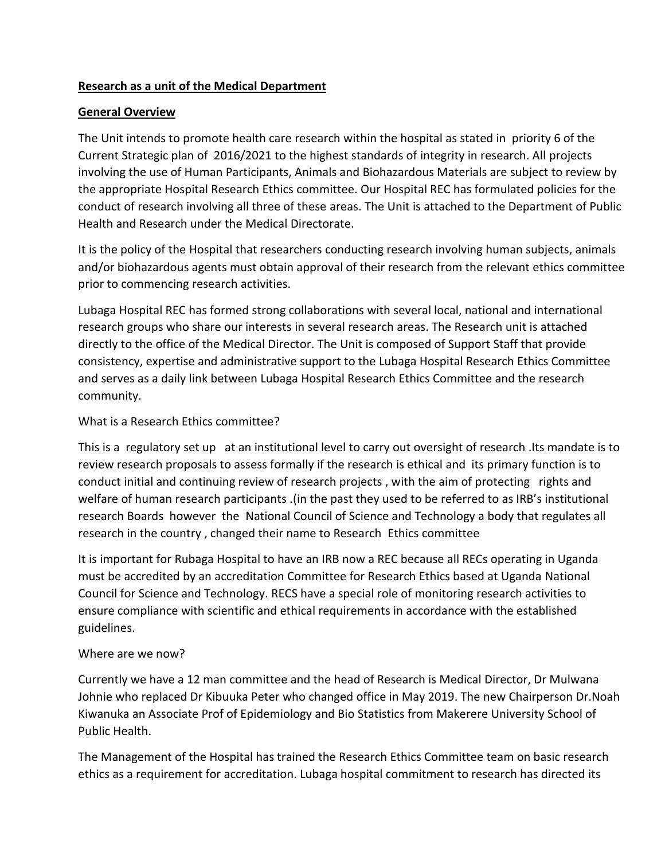## **Research as a unit of the Medical Department**

## **General Overview**

The Unit intends to promote health care research within the hospital as stated in priority 6 of the Current Strategic plan of 2016/2021 to the highest standards of integrity in research. All projects involving the use of Human Participants, Animals and Biohazardous Materials are subject to review by the appropriate Hospital Research Ethics committee. Our Hospital REC has formulated policies for the conduct of research involving all three of these areas. The Unit is attached to the Department of Public Health and Research under the Medical Directorate.

It is the policy of the Hospital that researchers conducting research involving human subjects, animals and/or biohazardous agents must obtain approval of their research from the relevant ethics committee prior to commencing research activities.

Lubaga Hospital REC has formed strong collaborations with several local, national and international research groups who share our interests in several research areas. The Research unit is attached directly to the office of the Medical Director. The Unit is composed of Support Staff that provide consistency, expertise and administrative support to the Lubaga Hospital Research Ethics Committee and serves as a daily link between Lubaga Hospital Research Ethics Committee and the research community.

## What is a Research Ethics committee?

This is a regulatory set up at an institutional level to carry out oversight of research .Its mandate is to review research proposals to assess formally if the research is ethical and its primary function is to conduct initial and continuing review of research projects , with the aim of protecting rights and welfare of human research participants .(in the past they used to be referred to as IRB's institutional research Boards however the National Council of Science and Technology a body that regulates all research in the country , changed their name to Research Ethics committee

It is important for Rubaga Hospital to have an IRB now a REC because all RECs operating in Uganda must be accredited by an accreditation Committee for Research Ethics based at Uganda National Council for Science and Technology. RECS have a special role of monitoring research activities to ensure compliance with scientific and ethical requirements in accordance with the established guidelines.

#### Where are we now?

Currently we have a 12 man committee and the head of Research is Medical Director, Dr Mulwana Johnie who replaced Dr Kibuuka Peter who changed office in May 2019. The new Chairperson Dr.Noah Kiwanuka an Associate Prof of Epidemiology and Bio Statistics from Makerere University School of Public Health.

The Management of the Hospital has trained the Research Ethics Committee team on basic research ethics as a requirement for accreditation. Lubaga hospital commitment to research has directed its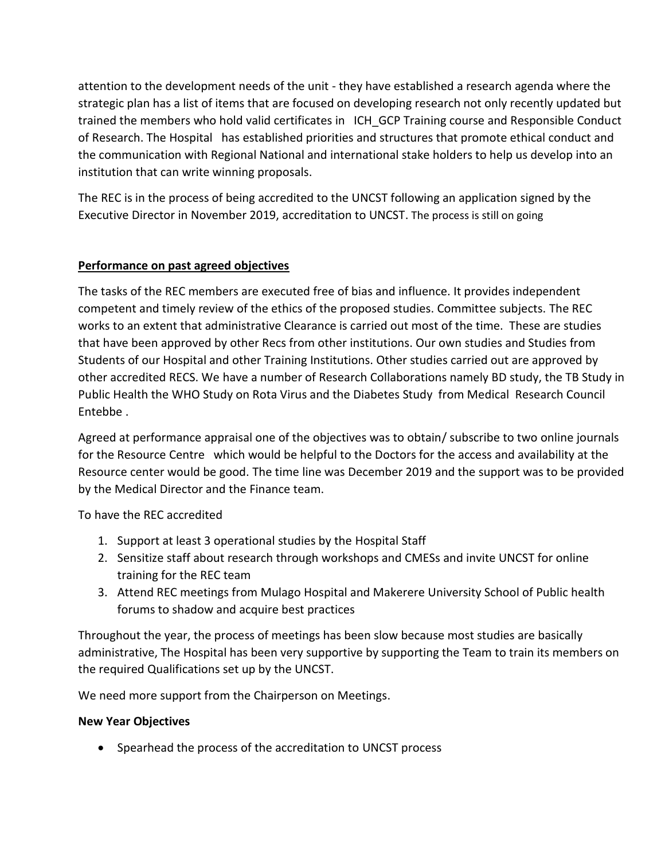attention to the development needs of the unit - they have established a research agenda where the strategic plan has a list of items that are focused on developing research not only recently updated but trained the members who hold valid certificates in ICH GCP Training course and Responsible Conduct of Research. The Hospital has established priorities and structures that promote ethical conduct and the communication with Regional National and international stake holders to help us develop into an institution that can write winning proposals.

The REC is in the process of being accredited to the UNCST following an application signed by the Executive Director in November 2019, accreditation to UNCST. The process is still on going

# **Performance on past agreed objectives**

The tasks of the REC members are executed free of bias and influence. It provides independent competent and timely review of the ethics of the proposed studies. Committee subjects. The REC works to an extent that administrative Clearance is carried out most of the time. These are studies that have been approved by other Recs from other institutions. Our own studies and Studies from Students of our Hospital and other Training Institutions. Other studies carried out are approved by other accredited RECS. We have a number of Research Collaborations namely BD study, the TB Study in Public Health the WHO Study on Rota Virus and the Diabetes Study from Medical Research Council Entebbe .

Agreed at performance appraisal one of the objectives was to obtain/ subscribe to two online journals for the Resource Centre which would be helpful to the Doctors for the access and availability at the Resource center would be good. The time line was December 2019 and the support was to be provided by the Medical Director and the Finance team.

To have the REC accredited

- 1. Support at least 3 operational studies by the Hospital Staff
- 2. Sensitize staff about research through workshops and CMESs and invite UNCST for online training for the REC team
- 3. Attend REC meetings from Mulago Hospital and Makerere University School of Public health forums to shadow and acquire best practices

Throughout the year, the process of meetings has been slow because most studies are basically administrative, The Hospital has been very supportive by supporting the Team to train its members on the required Qualifications set up by the UNCST.

We need more support from the Chairperson on Meetings.

## **New Year Objectives**

• Spearhead the process of the accreditation to UNCST process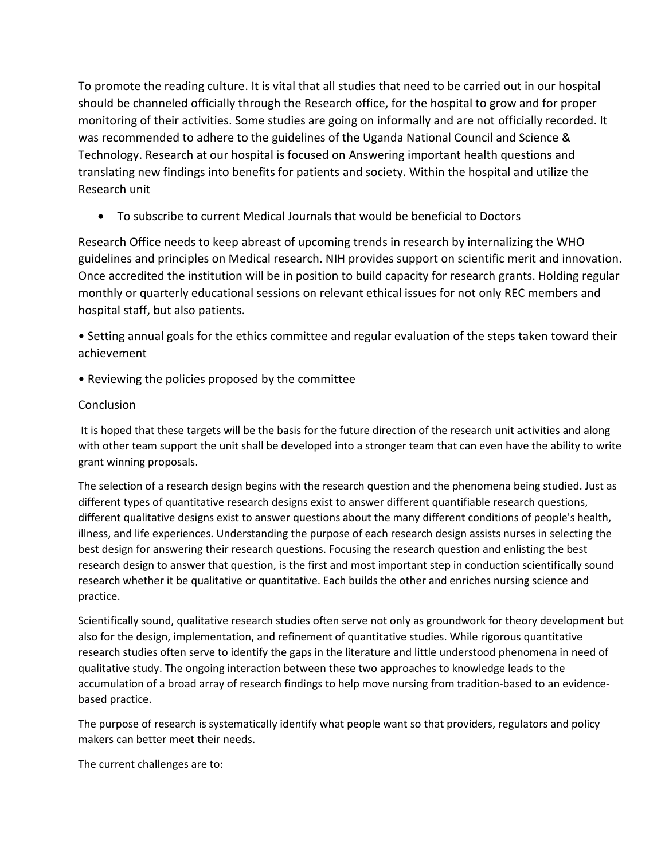To promote the reading culture. It is vital that all studies that need to be carried out in our hospital should be channeled officially through the Research office, for the hospital to grow and for proper monitoring of their activities. Some studies are going on informally and are not officially recorded. It was recommended to adhere to the guidelines of the Uganda National Council and Science & Technology. Research at our hospital is focused on Answering important health questions and translating new findings into benefits for patients and society. Within the hospital and utilize the Research unit

• To subscribe to current Medical Journals that would be beneficial to Doctors

Research Office needs to keep abreast of upcoming trends in research by internalizing the WHO guidelines and principles on Medical research. NIH provides support on scientific merit and innovation. Once accredited the institution will be in position to build capacity for research grants. Holding regular monthly or quarterly educational sessions on relevant ethical issues for not only REC members and hospital staff, but also patients.

• Setting annual goals for the ethics committee and regular evaluation of the steps taken toward their achievement

• Reviewing the policies proposed by the committee

## Conclusion

It is hoped that these targets will be the basis for the future direction of the research unit activities and along with other team support the unit shall be developed into a stronger team that can even have the ability to write grant winning proposals.

The selection of a research design begins with the research question and the phenomena being studied. Just as different types of quantitative research designs exist to answer different quantifiable research questions, different qualitative designs exist to answer questions about the many different conditions of people's health, illness, and life experiences. Understanding the purpose of each research design assists nurses in selecting the best design for answering their research questions. Focusing the research question and enlisting the best research design to answer that question, is the first and most important step in conduction scientifically sound research whether it be qualitative or quantitative. Each builds the other and enriches nursing science and practice.

Scientifically sound, qualitative research studies often serve not only as groundwork for theory development but also for the design, implementation, and refinement of quantitative studies. While rigorous quantitative research studies often serve to identify the gaps in the literature and little understood phenomena in need of qualitative study. The ongoing interaction between these two approaches to knowledge leads to the accumulation of a broad array of research findings to help move nursing from tradition-based to an evidencebased practice.

The purpose of research is systematically identify what people want so that providers, regulators and policy makers can better meet their needs.

The current challenges are to: